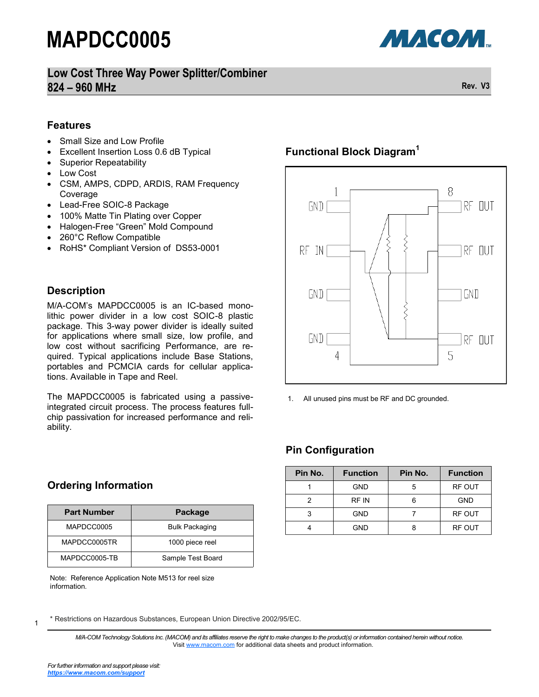**Low Cost Three Way Power Splitter/Combiner 824 – 960 MHz Rev. V3**



#### **Features**

- Small Size and Low Profile
- Excellent Insertion Loss 0.6 dB Typical
- Superior Repeatability
- Low Cost
- CSM, AMPS, CDPD, ARDIS, RAM Frequency Coverage
- Lead-Free SOIC-8 Package
- 100% Matte Tin Plating over Copper
- Halogen-Free "Green" Mold Compound
- 260°C Reflow Compatible
- RoHS\* Compliant Version of DS53-0001

#### **Description**

M/A-COM's MAPDCC0005 is an IC-based monolithic power divider in a low cost SOIC-8 plastic package. This 3-way power divider is ideally suited for applications where small size, low profile, and low cost without sacrificing Performance, are required. Typical applications include Base Stations, portables and PCMCIA cards for cellular applications. Available in Tape and Reel.

The MAPDCC0005 is fabricated using a passiveintegrated circuit process. The process features fullchip passivation for increased performance and reliability.

#### **Ordering Information**

| <b>Part Number</b> | Package               |  |
|--------------------|-----------------------|--|
| MAPDCC0005         | <b>Bulk Packaging</b> |  |
| MAPDCC0005TR       | 1000 piece reel       |  |
| MAPDCC0005-TB      | Sample Test Board     |  |

Note: Reference Application Note M513 for reel size information.

#### \* Restrictions on Hazardous Substances, European Union Directive 2002/95/EC.

*M/A-COM Technology Solutions Inc. (MACOM) and its affiliates reserve the right to make changes to the product(s) or information contained herein without notice.*  Visit [www.macom.com](http://www.macom.com/) for additional data sheets and product information.

## **Functional Block Diagram<sup>1</sup>**



1. All unused pins must be RF and DC grounded.

### **Pin Configuration**

| Pin No. | <b>Function</b> | Pin No. | <b>Function</b> |
|---------|-----------------|---------|-----------------|
|         | <b>GND</b>      |         | RF OUT          |
|         | RF IN           | հ       | <b>GND</b>      |
|         | <b>GND</b>      |         | RF OUT          |
|         | GND             |         | RF OUT          |

1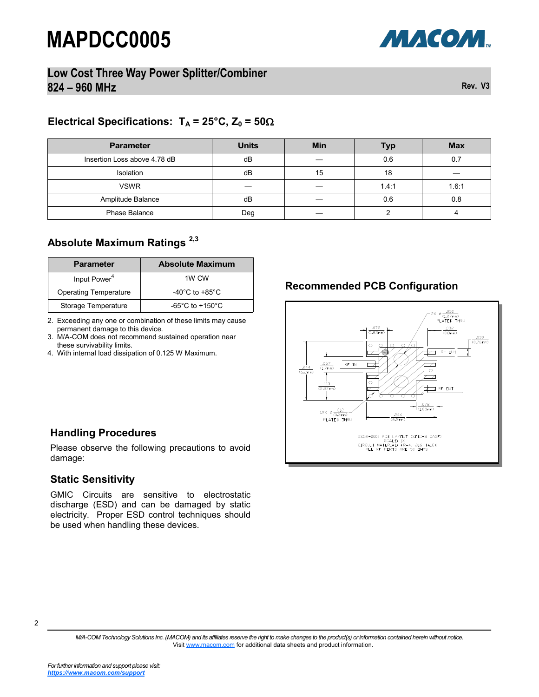

### **Low Cost Three Way Power Splitter/Combiner 824 – 960 MHz Rev. V3**

# **Electrical Specifications:**  $T_A = 25^\circ \text{C}$ ,  $Z_0 = 50 \Omega$

| <b>Parameter</b>             | <b>Units</b> | <b>Min</b> | Typ   | <b>Max</b> |
|------------------------------|--------------|------------|-------|------------|
| Insertion Loss above 4.78 dB | dB           |            | 0.6   |            |
| Isolation                    | dB           | 15         | 18    |            |
| <b>VSWR</b>                  |              |            | 1.4:1 | 1.6:1      |
| Amplitude Balance            | dВ           |            | 0.6   | 0.8        |
| Phase Balance                | Deg          |            |       |            |

#### **Absolute Maximum Ratings 2,3**

| <b>Parameter</b>             | <b>Absolute Maximum</b>              |
|------------------------------|--------------------------------------|
| Input Power <sup>4</sup>     | 1W CW                                |
| <b>Operating Temperature</b> | -40 $^{\circ}$ C to +85 $^{\circ}$ C |
| Storage Temperature          | $-65^{\circ}$ C to $+150^{\circ}$ C  |

2. Exceeding any one or combination of these limits may cause permanent damage to this device.

3. M/A-COM does not recommend sustained operation near these survivability limits.

4. With internal load dissipation of 0.125 W Maximum.

### **Recommended PCB Configuration**



#### **Handling Procedures**

Please observe the following precautions to avoid damage:

#### **Static Sensitivity**

GMIC Circuits are sensitive to electrostatic discharge (ESD) and can be damaged by static electricity. Proper ESD control techniques should be used when handling these devices.

2

*M/A-COM Technology Solutions Inc. (MACOM) and its affiliates reserve the right to make changes to the product(s) or information contained herein without notice.*  Visit [www.macom.com](http://www.macom.com/) for additional data sheets and product information.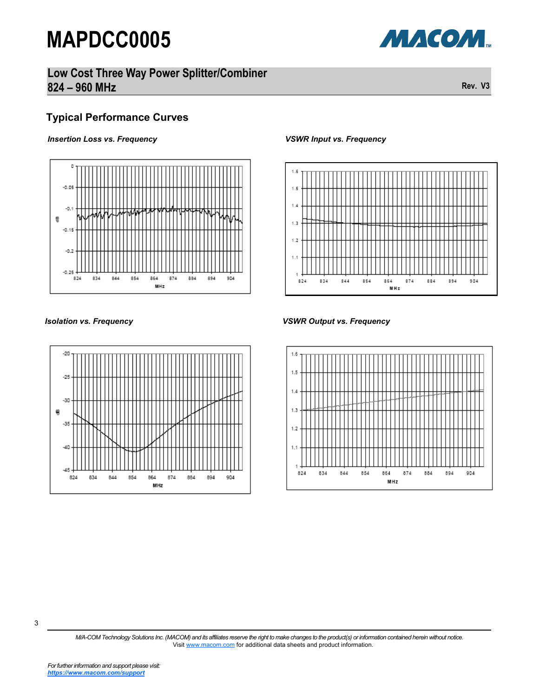### **Low Cost Three Way Power Splitter/Combiner 824 – 960 MHz Rev. V3**

### **Typical Performance Curves**

#### *Insertion Loss vs. Frequency*





#### *VSWR Input vs. Frequency*



#### *Isolation vs. Frequency VSWR Output vs. Frequency*



*M/A-COM Technology Solutions Inc. (MACOM) and its affiliates reserve the right to make changes to the product(s) or information contained herein without notice.*  Visit [www.macom.com](http://www.macom.com/) for additional data sheets and product information.

МАСОМ.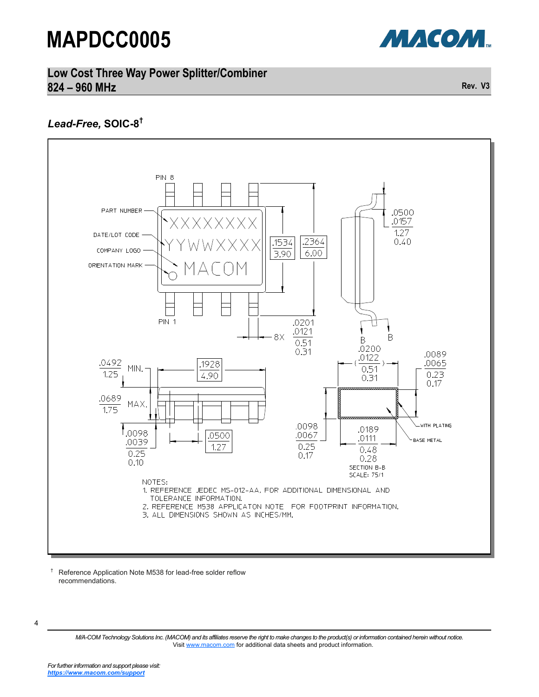

#### **Low Cost Three Way Power Splitter/Combiner 824 – 960 MHz Rev. V3**

### *Lead-Free,* **SOIC-8 †**



† Reference Application Note M538 for lead-free solder reflow recommendations.

<sup>4</sup>

*M/A-COM Technology Solutions Inc. (MACOM) and its affiliates reserve the right to make changes to the product(s) or information contained herein without notice.*  Visit [www.macom.com](http://www.macom.com/) for additional data sheets and product information.